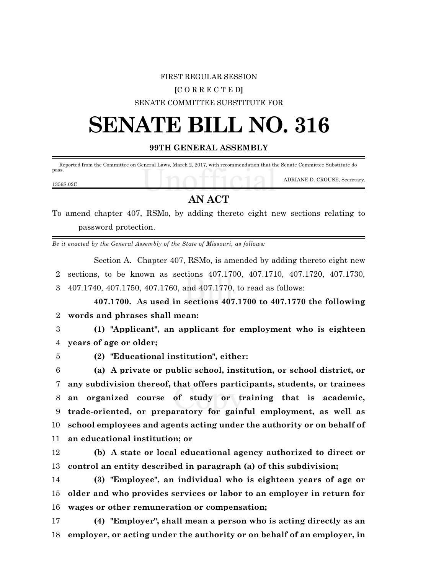### FIRST REGULAR SESSION

### **[**C O R R E C T E D**]**

#### SENATE COMMITTEE SUBSTITUTE FOR

# **SENATE BILL NO. 316**

## **99TH GENERAL ASSEMBLY**

 Reported from the Committee on General Laws, March 2, 2017, with recommendation that the Senate Committee Substitute do pass.

1356S.02C

ADRIANE D. CROUSE, Secretary.

# **AN ACT**

To amend chapter 407, RSMo, by adding thereto eight new sections relating to password protection.

*Be it enacted by the General Assembly of the State of Missouri, as follows:*

Section A. Chapter 407, RSMo, is amended by adding thereto eight new 2 sections, to be known as sections 407.1700, 407.1710, 407.1720, 407.1730, 3 407.1740, 407.1750, 407.1760, and 407.1770, to read as follows:

**407.1700. As used in sections 407.1700 to 407.1770 the following** 2 **words and phrases shall mean:**

3 **(1) "Applicant", an applicant for employment who is eighteen** 4 **years of age or older;**

5 **(2) "Educational institution", either:**

 **(a) A private or public school, institution, or school district, or any subdivision thereof, that offers participants, students, or trainees an organized course of study or training that is academic, trade-oriented, or preparatory for gainful employment, as well as school employees and agents acting under the authority or on behalf of an educational institution; or**

12 **(b) A state or local educational agency authorized to direct or** 13 **control an entity described in paragraph (a) of this subdivision;**

14 **(3) "Employee", an individual who is eighteen years of age or** 15 **older and who provides services or labor to an employer in return for** 16 **wages or other remuneration or compensation;**

17 **(4) "Employer", shall mean a person who is acting directly as an** 18 **employer, or acting under the authority or on behalf of an employer, in**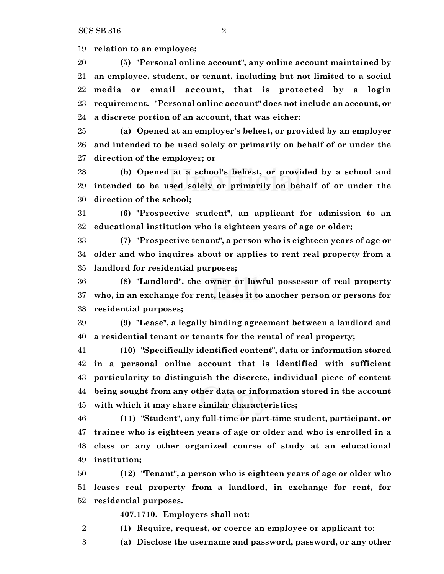**relation to an employee;**

 **(5) "Personal online account", any online account maintained by an employee, student, or tenant, including but not limited to a social media or email account, that is protected by a login requirement. "Personal online account" does not include an account, or a discrete portion of an account, that was either:**

 **(a) Opened at an employer's behest, or provided by an employer and intended to be used solely or primarily on behalf of or under the direction of the employer; or**

 **(b) Opened at a school's behest, or provided by a school and intended to be used solely or primarily on behalf of or under the direction of the school;**

 **(6) "Prospective student", an applicant for admission to an educational institution who is eighteen years of age or older;**

 **(7) "Prospective tenant", a person who is eighteen years of age or older and who inquires about or applies to rent real property from a landlord for residential purposes;**

 **(8) "Landlord", the owner or lawful possessor of real property who, in an exchange for rent, leases it to another person or persons for residential purposes;**

 **(9) "Lease", a legally binding agreement between a landlord and a residential tenant or tenants for the rental of real property;**

 **(10) "Specifically identified content", data or information stored in a personal online account that is identified with sufficient particularity to distinguish the discrete, individual piece of content being sought from any other data or information stored in the account with which it may share similar characteristics;**

 **(11) "Student", any full-time or part-time student, participant, or trainee who is eighteen years of age or older and who is enrolled in a class or any other organized course of study at an educational institution;**

 **(12) "Tenant", a person who is eighteen years of age or older who leases real property from a landlord, in exchange for rent, for residential purposes.**

**407.1710. Employers shall not:**

- **(1) Require, request, or coerce an employee or applicant to:**
- **(a) Disclose the username and password, password, or any other**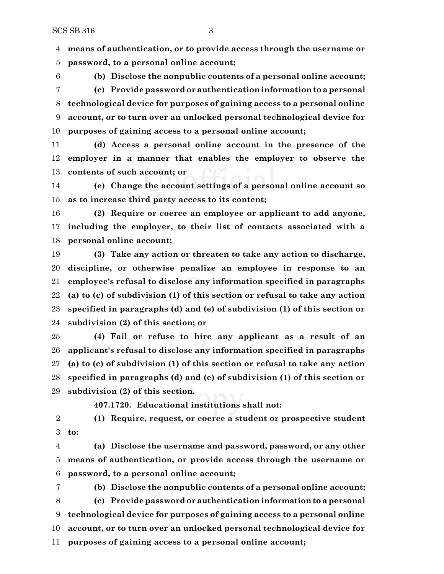**means of authentication, or to provide access through the username or**

**password, to a personal online account;**

 **(b) Disclose the nonpublic contents of a personal online account; (c) Provide password or authentication information to a personal technological device for purposes of gaining access to a personal online account, or to turn over an unlocked personal technological device for purposes of gaining access to a personal online account;**

 **(d) Access a personal online account in the presence of the employer in a manner that enables the employer to observe the contents of such account; or**

 **(e) Change the account settings of a personal online account so as to increase third party access to its content;**

 **(2) Require or coerce an employee or applicant to add anyone, including the employer, to their list of contacts associated with a personal online account;**

 **(3) Take any action or threaten to take any action to discharge, discipline, or otherwise penalize an employee in response to an employee's refusal to disclose any information specified in paragraphs (a) to (c) of subdivision (1) of this section or refusal to take any action specified in paragraphs (d) and (e) of subdivision (1) of this section or subdivision (2) of this section; or**

 **(4) Fail or refuse to hire any applicant as a result of an applicant's refusal to disclose any information specified in paragraphs (a) to (c) of subdivision (1) of this section or refusal to take any action specified in paragraphs (d) and (e) of subdivision (1) of this section or subdivision (2) of this section.**

**407.1720. Educational institutions shall not:**

 **(1) Require, request, or coerce a student or prospective student to:**

 **(a) Disclose the username and password, password, or any other means of authentication, or provide access through the username or password, to a personal online account;**

 **(b) Disclose the nonpublic contents of a personal online account; (c) Provide password or authentication information to a personal technological device for purposes of gaining access to a personal online account, or to turn over an unlocked personal technological device for purposes of gaining access to a personal online account;**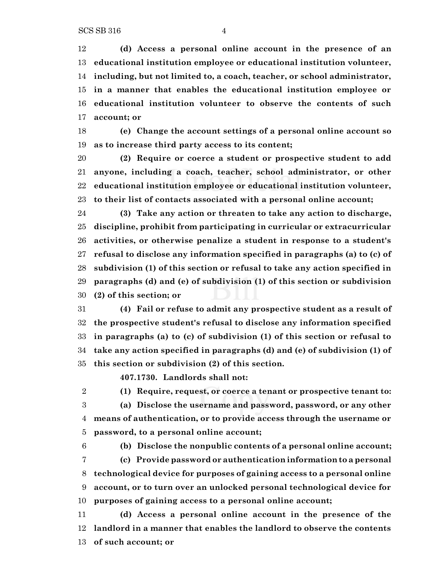**(d) Access a personal online account in the presence of an educational institution employee or educational institution volunteer, including, but not limited to, a coach, teacher, or school administrator, in a manner that enables the educational institution employee or educational institution volunteer to observe the contents of such account; or**

 **(e) Change the account settings of a personal online account so as to increase third party access to its content;**

 **(2) Require or coerce a student or prospective student to add anyone, including a coach, teacher, school administrator, or other educational institution employee or educational institution volunteer, to their list of contacts associated with a personal online account;**

 **(3) Take any action or threaten to take any action to discharge, discipline, prohibit from participating in curricular or extracurricular activities, or otherwise penalize a student in response to a student's refusal to disclose any information specified in paragraphs (a) to (c) of subdivision (1) of this section or refusal to take any action specified in paragraphs (d) and (e) of subdivision (1) of this section or subdivision (2) of this section; or**

 **(4) Fail or refuse to admit any prospective student as a result of the prospective student's refusal to disclose any information specified in paragraphs (a) to (c) of subdivision (1) of this section or refusal to take any action specified in paragraphs (d) and (e) of subdivision (1) of this section or subdivision (2) of this section.**

**407.1730. Landlords shall not:**

 **(1) Require, request, or coerce a tenant or prospective tenant to: (a) Disclose the username and password, password, or any other means of authentication, or to provide access through the username or password, to a personal online account;**

 **(b) Disclose the nonpublic contents of a personal online account; (c) Provide password or authentication information to a personal technological device for purposes of gaining access to a personal online account, or to turn over an unlocked personal technological device for purposes of gaining access to a personal online account;**

 **(d) Access a personal online account in the presence of the landlord in a manner that enables the landlord to observe the contents of such account; or**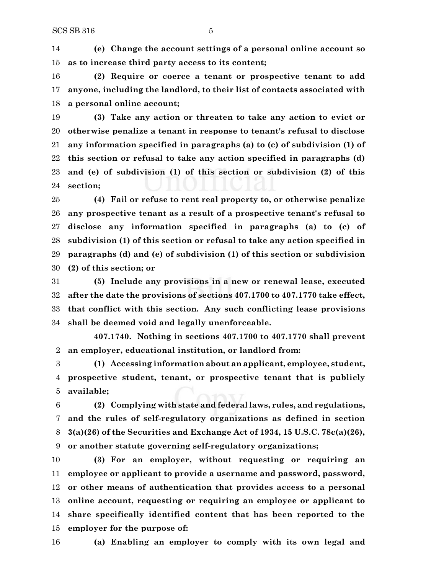**(e) Change the account settings of a personal online account so as to increase third party access to its content;**

 **(2) Require or coerce a tenant or prospective tenant to add anyone, including the landlord, to their list of contacts associated with a personal online account;**

 **(3) Take any action or threaten to take any action to evict or otherwise penalize a tenant in response to tenant's refusal to disclose any information specified in paragraphs (a) to (c) of subdivision (1) of this section or refusal to take any action specified in paragraphs (d) and (e) of subdivision (1) of this section or subdivision (2) of this section;**

 **(4) Fail or refuse to rent real property to, or otherwise penalize any prospective tenant as a result of a prospective tenant's refusal to disclose any information specified in paragraphs (a) to (c) of subdivision (1) of this section or refusal to take any action specified in paragraphs (d) and (e) of subdivision (1) of this section or subdivision (2) of this section; or**

 **(5) Include any provisions in a new or renewal lease, executed after the date the provisions of sections 407.1700 to 407.1770 take effect, that conflict with this section. Any such conflicting lease provisions shall be deemed void and legally unenforceable.**

**407.1740. Nothing in sections 407.1700 to 407.1770 shall prevent an employer, educational institution, or landlord from:**

 **(1) Accessing information about an applicant, employee, student, prospective student, tenant, or prospective tenant that is publicly available;**

 **(2) Complying with state and federal laws, rules, and regulations, and the rules of self-regulatory organizations as defined in section 3(a)(26) of the Securities and Exchange Act of 1934, 15 U.S.C. 78c(a)(26), or another statute governing self-regulatory organizations;**

 **(3) For an employer, without requesting or requiring an employee or applicant to provide a username and password, password, or other means of authentication that provides access to a personal online account, requesting or requiring an employee or applicant to share specifically identified content that has been reported to the employer for the purpose of:**

**(a) Enabling an employer to comply with its own legal and**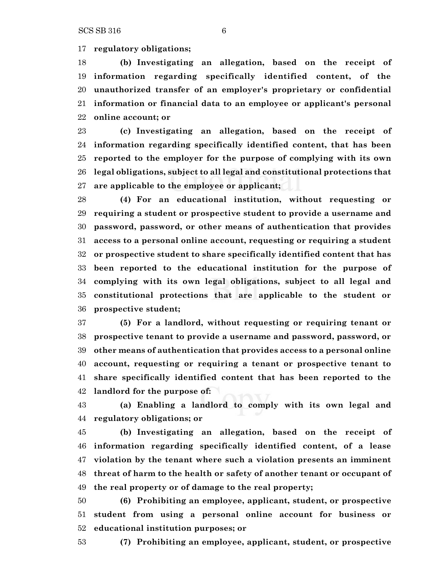**regulatory obligations;**

 **(b) Investigating an allegation, based on the receipt of information regarding specifically identified content, of the unauthorized transfer of an employer's proprietary or confidential information or financial data to an employee or applicant's personal online account; or**

 **(c) Investigating an allegation, based on the receipt of information regarding specifically identified content, that has been reported to the employer for the purpose of complying with its own legal obligations, subject to all legal and constitutional protections that are applicable to the employee or applicant;**

 **(4) For an educational institution, without requesting or requiring a student or prospective student to provide a username and password, password, or other means of authentication that provides access to a personal online account, requesting or requiring a student or prospective student to share specifically identified content that has been reported to the educational institution for the purpose of complying with its own legal obligations, subject to all legal and constitutional protections that are applicable to the student or prospective student;**

 **(5) For a landlord, without requesting or requiring tenant or prospective tenant to provide a username and password, password, or other means of authentication that provides access to a personal online account, requesting or requiring a tenant or prospective tenant to share specifically identified content that has been reported to the landlord for the purpose of:**

 **(a) Enabling a landlord to comply with its own legal and regulatory obligations; or**

 **(b) Investigating an allegation, based on the receipt of information regarding specifically identified content, of a lease violation by the tenant where such a violation presents an imminent threat of harm to the health or safety of another tenant or occupant of the real property or of damage to the real property;**

 **(6) Prohibiting an employee, applicant, student, or prospective student from using a personal online account for business or educational institution purposes; or**

**(7) Prohibiting an employee, applicant, student, or prospective**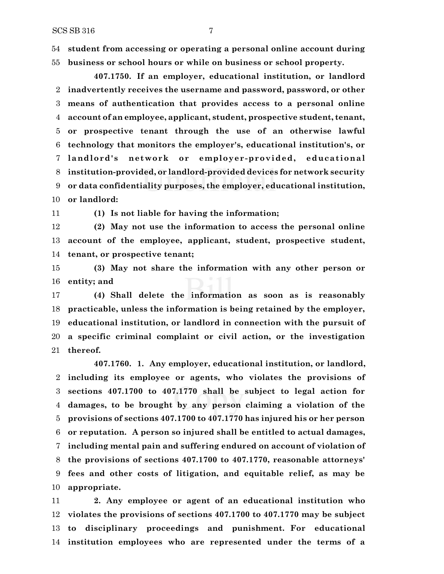**student from accessing or operating a personal online account during business or school hours or while on business or school property.**

**407.1750. If an employer, educational institution, or landlord inadvertently receives the username and password, password, or other means of authentication that provides access to a personal online account of an employee, applicant, student, prospective student, tenant, or prospective tenant through the use of an otherwise lawful technology that monitors the employer's, educational institution's, or landlord' s network or employer-provided, educat ional institution-provided, or landlord-provided devices for network security or data confidentiality purposes, the employer, educational institution, or landlord:**

**(1) Is not liable for having the information;**

 **(2) May not use the information to access the personal online account of the employee, applicant, student, prospective student, tenant, or prospective tenant;**

 **(3) May not share the information with any other person or entity; and**

 **(4) Shall delete the information as soon as is reasonably practicable, unless the information is being retained by the employer, educational institution, or landlord in connection with the pursuit of a specific criminal complaint or civil action, or the investigation thereof.**

**407.1760. 1. Any employer, educational institution, or landlord, including its employee or agents, who violates the provisions of sections 407.1700 to 407.1770 shall be subject to legal action for damages, to be brought by any person claiming a violation of the provisions of sections 407.1700 to 407.1770 has injured his or her person or reputation. A person so injured shall be entitled to actual damages, including mental pain and suffering endured on account of violation of the provisions of sections 407.1700 to 407.1770, reasonable attorneys' fees and other costs of litigation, and equitable relief, as may be appropriate.**

 **2. Any employee or agent of an educational institution who violates the provisions of sections 407.1700 to 407.1770 may be subject to disciplinary proceedings and punishment. For educational institution employees who are represented under the terms of a**